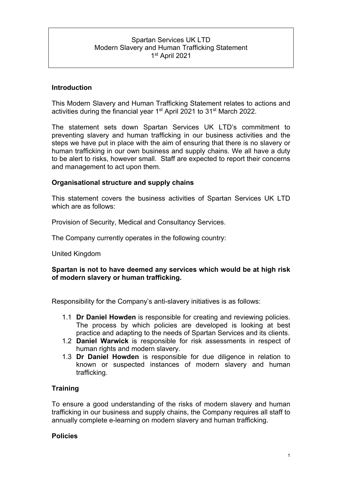# Spartan Services UK LTD Modern Slavery and Human Trafficking Statement 1st April 2021

## **Introduction**

This Modern Slavery and Human Trafficking Statement relates to actions and activities during the financial year 1st April 2021 to 31st March 2022.

The statement sets down Spartan Services UK LTD's commitment to preventing slavery and human trafficking in our business activities and the steps we have put in place with the aim of ensuring that there is no slavery or human trafficking in our own business and supply chains. We all have a duty to be alert to risks, however small. Staff are expected to report their concerns and management to act upon them.

### **Organisational structure and supply chains**

This statement covers the business activities of Spartan Services UK LTD which are as follows:

Provision of Security, Medical and Consultancy Services.

The Company currently operates in the following country:

United Kingdom

#### **Spartan is not to have deemed any services which would be at high risk of modern slavery or human trafficking.**

Responsibility for the Company's anti-slavery initiatives is as follows:

- 1.1 **Dr Daniel Howden** is responsible for creating and reviewing policies. The process by which policies are developed is looking at best practice and adapting to the needs of Spartan Services and its clients.
- 1.2 **Daniel Warwick** is responsible for risk assessments in respect of human rights and modern slavery.
- 1.3 **Dr Daniel Howden** is responsible for due diligence in relation to known or suspected instances of modern slavery and human trafficking.

### **Training**

To ensure a good understanding of the risks of modern slavery and human trafficking in our business and supply chains, the Company requires all staff to annually complete e-learning on modern slavery and human trafficking.

### **Policies**